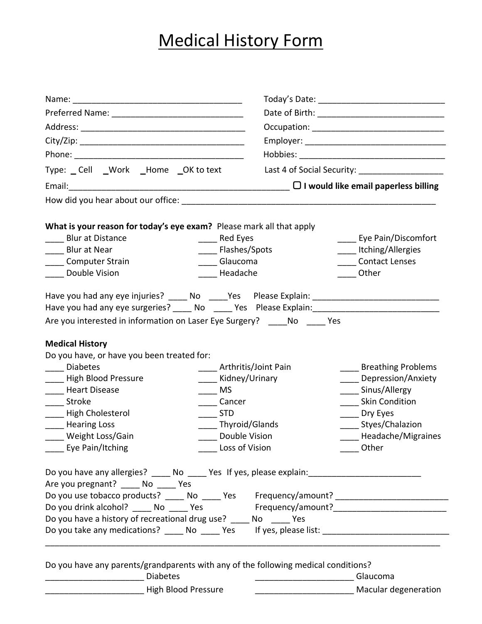# Medical History Form

|                                                                                                      |                           |                                               |                           | Type: Cell _Work _Home _OK to text |  |  |  |
|------------------------------------------------------------------------------------------------------|---------------------------|-----------------------------------------------|---------------------------|------------------------------------|--|--|--|
|                                                                                                      |                           |                                               |                           |                                    |  |  |  |
|                                                                                                      |                           |                                               |                           |                                    |  |  |  |
|                                                                                                      |                           |                                               |                           |                                    |  |  |  |
| What is your reason for today's eye exam? Please mark all that apply<br><b>Blur at Distance</b>      |                           |                                               | Eye Pain/Discomfort       |                                    |  |  |  |
| <b>Blur at Near</b>                                                                                  | Red Eyes                  |                                               | ____ Itching/Allergies    |                                    |  |  |  |
| <b>Computer Strain</b>                                                                               | Flashes/Spots<br>Glaucoma |                                               | <b>Contact Lenses</b>     |                                    |  |  |  |
| Double Vision                                                                                        | Headache                  |                                               | Other                     |                                    |  |  |  |
|                                                                                                      |                           |                                               |                           |                                    |  |  |  |
| Have you had any eye injuries? _____ No _____Yes Please Explain: ___________________________________ |                           |                                               |                           |                                    |  |  |  |
| Have you had any eye surgeries? _____ No _____ Yes Please Explain: _________________________________ |                           |                                               |                           |                                    |  |  |  |
| Are you interested in information on Laser Eye Surgery? ____ No ____ Yes                             |                           |                                               |                           |                                    |  |  |  |
|                                                                                                      |                           |                                               |                           |                                    |  |  |  |
| <b>Medical History</b>                                                                               |                           |                                               |                           |                                    |  |  |  |
| Do you have, or have you been treated for:                                                           |                           |                                               |                           |                                    |  |  |  |
| <b>Diabetes</b>                                                                                      | Arthritis/Joint Pain      |                                               | <b>Breathing Problems</b> |                                    |  |  |  |
| <b>High Blood Pressure</b>                                                                           | Kidney/Urinary            |                                               | Depression/Anxiety        |                                    |  |  |  |
| _____ Heart Disease                                                                                  | $\equiv$ MS               |                                               | ____ Sinus/Allergy        |                                    |  |  |  |
| ___ Stroke                                                                                           | Cancer                    |                                               | <b>Skin Condition</b>     |                                    |  |  |  |
| - High Cholesterol                                                                                   | <b>STD</b>                |                                               | Dry Eyes                  |                                    |  |  |  |
| _____ Hearing Loss                                                                                   | Thyroid/Glands            |                                               | ______ Styes/Chalazion    |                                    |  |  |  |
| ____ Weight Loss/Gain                                                                                | Double Vision             |                                               | Headache/Migraines        |                                    |  |  |  |
| ____ Eye Pain/Itching                                                                                | Loss of Vision            |                                               | Other                     |                                    |  |  |  |
| Do you have any allergies? _____ No _____ Yes If yes, please explain: ______________________________ |                           |                                               |                           |                                    |  |  |  |
| Are you pregnant? ____ No ____ Yes                                                                   |                           |                                               |                           |                                    |  |  |  |
| Do you use tobacco products? _____ No _____ Yes Frequency/amount? _________________________________  |                           |                                               |                           |                                    |  |  |  |
| Do you drink alcohol? _____ No _____ Yes Frequency/amount?______________________                     |                           |                                               |                           |                                    |  |  |  |
| Do you have a history of recreational drug use? _____ No _____ Yes                                   |                           |                                               |                           |                                    |  |  |  |
|                                                                                                      |                           |                                               |                           |                                    |  |  |  |
|                                                                                                      |                           |                                               |                           |                                    |  |  |  |
|                                                                                                      |                           |                                               |                           |                                    |  |  |  |
| Do you have any parents/grandparents with any of the following medical conditions?                   |                           |                                               |                           |                                    |  |  |  |
| <b>Diabetes</b>                                                                                      |                           | <u> 1989 - Jan Samuel Barbara, poeta esta</u> | Glaucoma                  |                                    |  |  |  |

| High Blood Pressure | Macular degeneration |
|---------------------|----------------------|
|                     |                      |